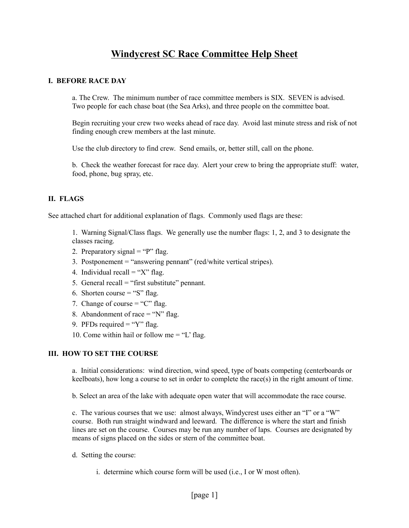# **Windycrest SC Race Committee Help Sheet**

## **I. BEFORE RACE DAY**

a. The Crew. The minimum number of race committee members is SIX. SEVEN is advised. Two people for each chase boat (the Sea Arks), and three people on the committee boat.

Begin recruiting your crew two weeks ahead of race day. Avoid last minute stress and risk of not finding enough crew members at the last minute.

Use the club directory to find crew. Send emails, or, better still, call on the phone.

b. Check the weather forecast for race day. Alert your crew to bring the appropriate stuff: water, food, phone, bug spray, etc.

## **II. FLAGS**

See attached chart for additional explanation of flags. Commonly used flags are these:

1. Warning Signal/Class flags. We generally use the number flags: 1, 2, and 3 to designate the classes racing.

- 2. Preparatory signal  $=$  "P" flag.
- 3. Postponement = "answering pennant" (red/white vertical stripes).
- 4. Individual recall  $=$  "X" flag.
- 5. General recall  $=$  "first substitute" pennant.
- 6. Shorten course  $=$  "S" flag.
- 7. Change of course  $=$  "C" flag.
- 8. Abandonment of race  $=$  "N" flag.
- 9. PFDs required  $=$  "Y" flag.
- 10. Come within hail or follow me = "L' flag.

### **III. HOW TO SET THE COURSE**

a. Initial considerations: wind direction, wind speed, type of boats competing (centerboards or keelboats), how long a course to set in order to complete the race(s) in the right amount of time.

b. Select an area of the lake with adequate open water that will accommodate the race course.

c. The various courses that we use: almost always, Windycrest uses either an "I" or a "W" course. Both run straight windward and leeward. The difference is where the start and finish lines are set on the course. Courses may be run any number of laps. Courses are designated by means of signs placed on the sides or stern of the committee boat.

- d. Setting the course:
	- i. determine which course form will be used (i.e., I or W most often).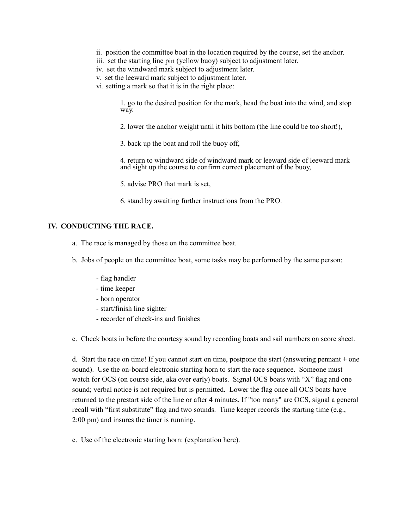- ii. position the committee boat in the location required by the course, set the anchor.
- iii. set the starting line pin (yellow buoy) subject to adjustment later.
- iv. set the windward mark subject to adjustment later.
- v. set the leeward mark subject to adjustment later.
- vi. setting a mark so that it is in the right place:

1. go to the desired position for the mark, head the boat into the wind, and stop way.

2. lower the anchor weight until it hits bottom (the line could be too short!),

3. back up the boat and roll the buoy off,

4. return to windward side of windward mark or leeward side of leeward mark and sight up the course to confirm correct placement of the buoy,

- 5. advise PRO that mark is set,
- 6. stand by awaiting further instructions from the PRO.

#### **IV. CONDUCTING THE RACE.**

- a. The race is managed by those on the committee boat.
- b. Jobs of people on the committee boat, some tasks may be performed by the same person:
	- flag handler
	- time keeper
	- horn operator
	- start/finish line sighter
	- recorder of check-ins and finishes
- c. Check boats in before the courtesy sound by recording boats and sail numbers on score sheet.

d. Start the race on time! If you cannot start on time, postpone the start (answering pennant + one sound). Use the on-board electronic starting horn to start the race sequence. Someone must watch for OCS (on course side, aka over early) boats. Signal OCS boats with "X" flag and one sound; verbal notice is not required but is permitted. Lower the flag once all OCS boats have returned to the prestart side of the line or after 4 minutes. If "too many" are OCS, signal a general recall with "first substitute" flag and two sounds. Time keeper records the starting time (e.g., 2:00 pm) and insures the timer is running.

e. Use of the electronic starting horn: (explanation here).